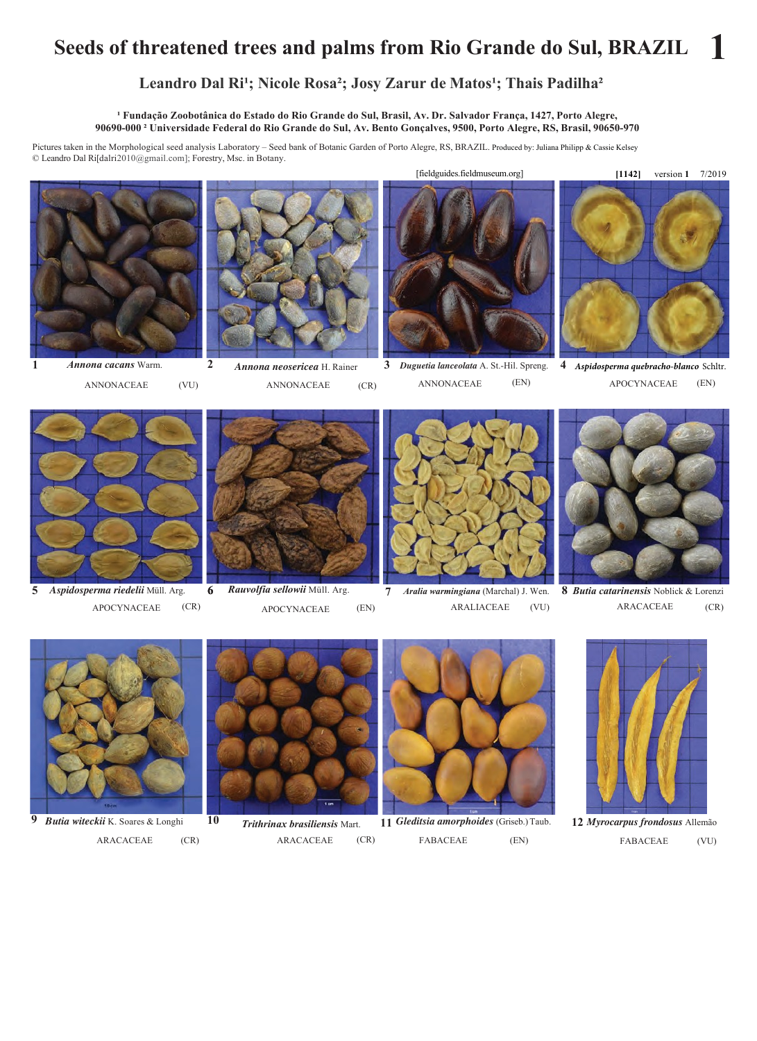## **Seeds of threatened trees and palms from Rio Grande do Sul, BRAZIL 1**

## Leandro Dal Ri<sup>1</sup>; Nicole Rosa<sup>2</sup>; Josy Zarur de Matos<sup>1</sup>; Thais Padilha<sup>2</sup>

<sup>1</sup> Fundação Zoobotânica do Estado do Rio Grande do Sul, Brasil, Av. Dr. Salvador França, 1427, Porto Alegre, 90690-000<sup>2</sup> Universidade Federal do Rio Grande do Sul, Av. Bento Gonçalves, 9500, Porto Alegre, RS, Brasil, 90650-970

Pictures taken in the Morphological seed analysis Laboratory – Seed bank of Botanic Garden of Porto Alegre, RS, BRAZIL. Produced by: Juliana Philipp & Cassie Kelsey © Leandro Dal Ri[dalri2010@gmail.com]; Forestry, Msc. in Botany.



(VU) *Annona cacans* Warm.

**1** 



*Annona neosericea* H. Rainer ANNONACEAE (VU) ANNONACEAE (CR) ANNONACEAE (EN) APOCYNACEAE (EN) (CR)

**3 4** *Duguetia lanceolata* A. St.-Hil. Spreng. ANNONACEAE (EN)



*Aspidosperma quebracho-blanco* Schltr.



*Aspidosperma riedelii* Müll. Arg. APOCYNACEAE **5**



(CR) APOCYNACEAE (EN) **6 7** *Rauvolfia sellowii* Müll. Arg.



*Aralia warmingiana* (Marchal) J. Wen. ARALIACEAE (VU)



**8** *Butia catarinensis* Noblick & Lorenzi ARACACEAE (CR)



*Butia witeckii* K. Soares & Longhi ARACACEAE (CR) ARACACEAE **9** (CR)



*Trithrinax brasiliensis* Mart. **11** (CR)



*Gleditsia amorphoides* (Griseb.) Taub. FABACEAE (EN)



*Myrocarpus frondosus* Allemão **12** FABACEAE (VU)

[fieldguides.fieldmuseum.org]